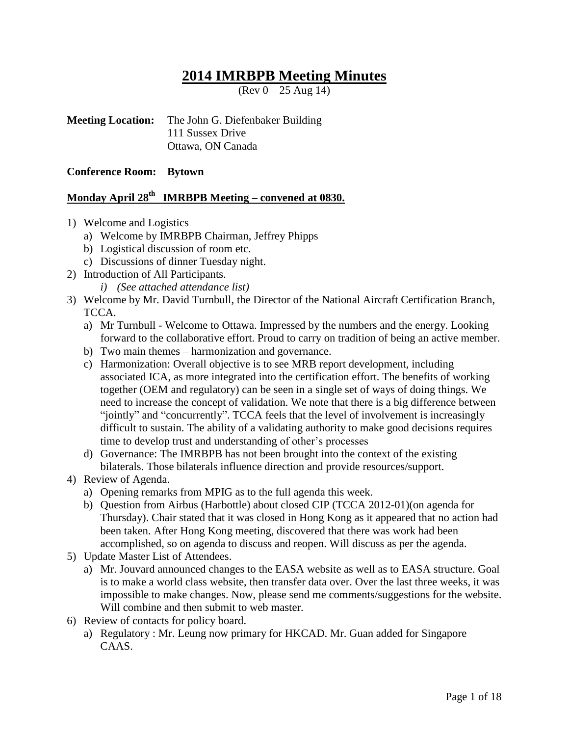# **2014 IMRBPB Meeting Minutes**

 $($ Rev  $0 - 25$  Aug 14)

**Meeting Location:** The John G. Diefenbaker Building 111 Sussex Drive Ottawa, ON Canada

**Conference Room: Bytown**

# **Monday April 28 th IMRBPB Meeting – convened at 0830.**

- 1) Welcome and Logistics
	- a) Welcome by IMRBPB Chairman, Jeffrey Phipps
	- b) Logistical discussion of room etc.
	- c) Discussions of dinner Tuesday night.
- 2) Introduction of All Participants.
	- *i) (See attached attendance list)*
- 3) Welcome by Mr. David Turnbull, the Director of the National Aircraft Certification Branch, TCCA.
	- a) Mr Turnbull Welcome to Ottawa. Impressed by the numbers and the energy. Looking forward to the collaborative effort. Proud to carry on tradition of being an active member.
	- b) Two main themes harmonization and governance.
	- c) Harmonization: Overall objective is to see MRB report development, including associated ICA, as more integrated into the certification effort. The benefits of working together (OEM and regulatory) can be seen in a single set of ways of doing things. We need to increase the concept of validation. We note that there is a big difference between "jointly" and "concurrently". TCCA feels that the level of involvement is increasingly difficult to sustain. The ability of a validating authority to make good decisions requires time to develop trust and understanding of other's processes
	- d) Governance: The IMRBPB has not been brought into the context of the existing bilaterals. Those bilaterals influence direction and provide resources/support.
- 4) Review of Agenda.
	- a) Opening remarks from MPIG as to the full agenda this week.
	- b) Question from Airbus (Harbottle) about closed CIP (TCCA 2012-01)(on agenda for Thursday). Chair stated that it was closed in Hong Kong as it appeared that no action had been taken. After Hong Kong meeting, discovered that there was work had been accomplished, so on agenda to discuss and reopen. Will discuss as per the agenda.
- 5) Update Master List of Attendees.
	- a) Mr. Jouvard announced changes to the EASA website as well as to EASA structure. Goal is to make a world class website, then transfer data over. Over the last three weeks, it was impossible to make changes. Now, please send me comments/suggestions for the website. Will combine and then submit to web master.
- 6) Review of contacts for policy board.
	- a) Regulatory : Mr. Leung now primary for HKCAD. Mr. Guan added for Singapore CAAS.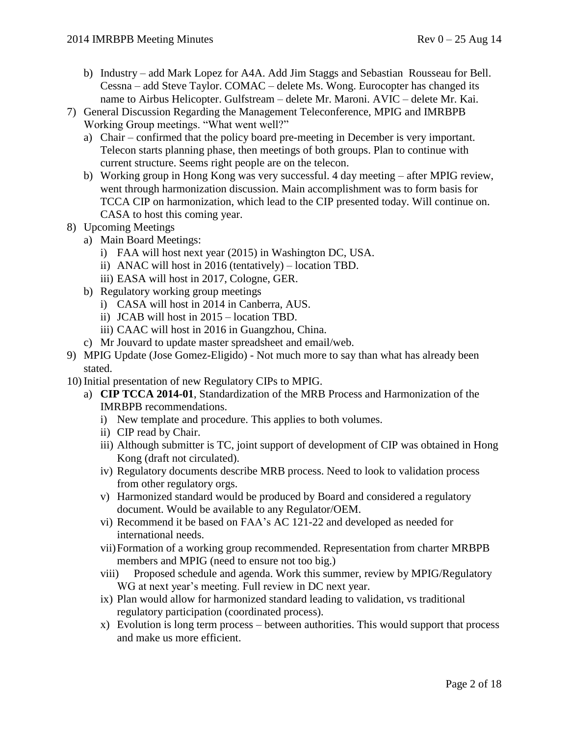- b) Industry add Mark Lopez for A4A. Add Jim Staggs and Sebastian Rousseau for Bell. Cessna – add Steve Taylor. COMAC – delete Ms. Wong. Eurocopter has changed its name to Airbus Helicopter. Gulfstream – delete Mr. Maroni. AVIC – delete Mr. Kai.
- 7) General Discussion Regarding the Management Teleconference, MPIG and IMRBPB Working Group meetings. "What went well?"
	- a) Chair confirmed that the policy board pre-meeting in December is very important. Telecon starts planning phase, then meetings of both groups. Plan to continue with current structure. Seems right people are on the telecon.
	- b) Working group in Hong Kong was very successful. 4 day meeting after MPIG review, went through harmonization discussion. Main accomplishment was to form basis for TCCA CIP on harmonization, which lead to the CIP presented today. Will continue on. CASA to host this coming year.
- 8) Upcoming Meetings
	- a) Main Board Meetings:
		- i) FAA will host next year (2015) in Washington DC, USA.
		- ii) ANAC will host in 2016 (tentatively) location TBD.
		- iii) EASA will host in 2017, Cologne, GER.
	- b) Regulatory working group meetings
		- i) CASA will host in 2014 in Canberra, AUS.
		- ii) JCAB will host in 2015 location TBD.
		- iii) CAAC will host in 2016 in Guangzhou, China.
	- c) Mr Jouvard to update master spreadsheet and email/web.
- 9) MPIG Update (Jose Gomez-Eligido) Not much more to say than what has already been stated.
- 10) Initial presentation of new Regulatory CIPs to MPIG.
	- a) **CIP TCCA 2014-01**, Standardization of the MRB Process and Harmonization of the IMRBPB recommendations.
		- i) New template and procedure. This applies to both volumes.
		- ii) CIP read by Chair.
		- iii) Although submitter is TC, joint support of development of CIP was obtained in Hong Kong (draft not circulated).
		- iv) Regulatory documents describe MRB process. Need to look to validation process from other regulatory orgs.
		- v) Harmonized standard would be produced by Board and considered a regulatory document. Would be available to any Regulator/OEM.
		- vi) Recommend it be based on FAA's AC 121-22 and developed as needed for international needs.
		- vii)Formation of a working group recommended. Representation from charter MRBPB members and MPIG (need to ensure not too big.)
		- viii) Proposed schedule and agenda. Work this summer, review by MPIG/Regulatory WG at next year's meeting. Full review in DC next year.
		- ix) Plan would allow for harmonized standard leading to validation, vs traditional regulatory participation (coordinated process).
		- x) Evolution is long term process between authorities. This would support that process and make us more efficient.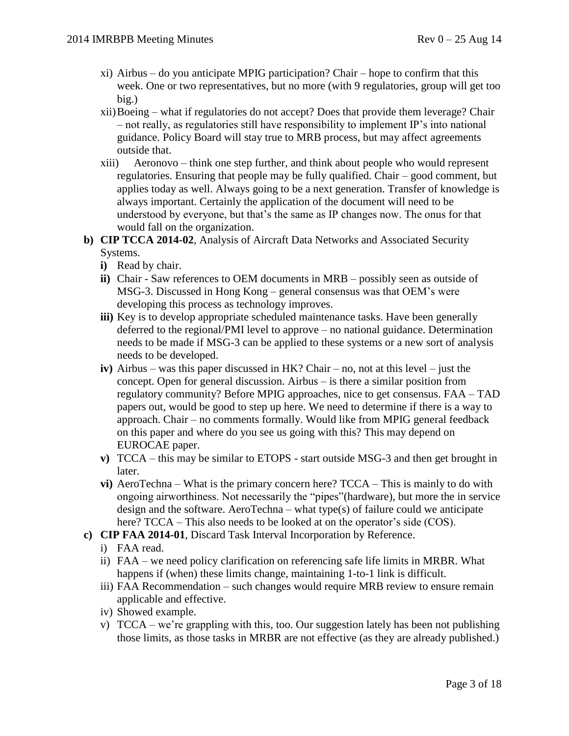- xi) Airbus do you anticipate MPIG participation? Chair hope to confirm that this week. One or two representatives, but no more (with 9 regulatories, group will get too big.)
- xii)Boeing what if regulatories do not accept? Does that provide them leverage? Chair – not really, as regulatories still have responsibility to implement IP's into national guidance. Policy Board will stay true to MRB process, but may affect agreements outside that.
- xiii) Aeronovo think one step further, and think about people who would represent regulatories. Ensuring that people may be fully qualified. Chair – good comment, but applies today as well. Always going to be a next generation. Transfer of knowledge is always important. Certainly the application of the document will need to be understood by everyone, but that's the same as IP changes now. The onus for that would fall on the organization.
- **b) CIP TCCA 2014-02**, Analysis of Aircraft Data Networks and Associated Security Systems.
	- **i)** Read by chair.
	- **ii)** Chair Saw references to OEM documents in MRB possibly seen as outside of MSG-3. Discussed in Hong Kong – general consensus was that OEM's were developing this process as technology improves.
	- **iii**) Key is to develop appropriate scheduled maintenance tasks. Have been generally deferred to the regional/PMI level to approve – no national guidance. Determination needs to be made if MSG-3 can be applied to these systems or a new sort of analysis needs to be developed.
	- **iv)** Airbus was this paper discussed in HK? Chair no, not at this level just the concept. Open for general discussion. Airbus – is there a similar position from regulatory community? Before MPIG approaches, nice to get consensus. FAA – TAD papers out, would be good to step up here. We need to determine if there is a way to approach. Chair – no comments formally. Would like from MPIG general feedback on this paper and where do you see us going with this? This may depend on EUROCAE paper.
	- **v)** TCCA this may be similar to ETOPS start outside MSG-3 and then get brought in later.
	- **vi)** AeroTechna What is the primary concern here? TCCA This is mainly to do with ongoing airworthiness. Not necessarily the "pipes"(hardware), but more the in service design and the software. AeroTechna – what type(s) of failure could we anticipate here? TCCA – This also needs to be looked at on the operator's side (COS).
- **c) CIP FAA 2014-01**, Discard Task Interval Incorporation by Reference.
	- i) FAA read.
	- ii) FAA we need policy clarification on referencing safe life limits in MRBR. What happens if (when) these limits change, maintaining 1-to-1 link is difficult.
	- iii) FAA Recommendation such changes would require MRB review to ensure remain applicable and effective.
	- iv) Showed example.
	- v)  $TCCA we're graphing with this, too. Our suggestion laterly has been not publishing$ those limits, as those tasks in MRBR are not effective (as they are already published.)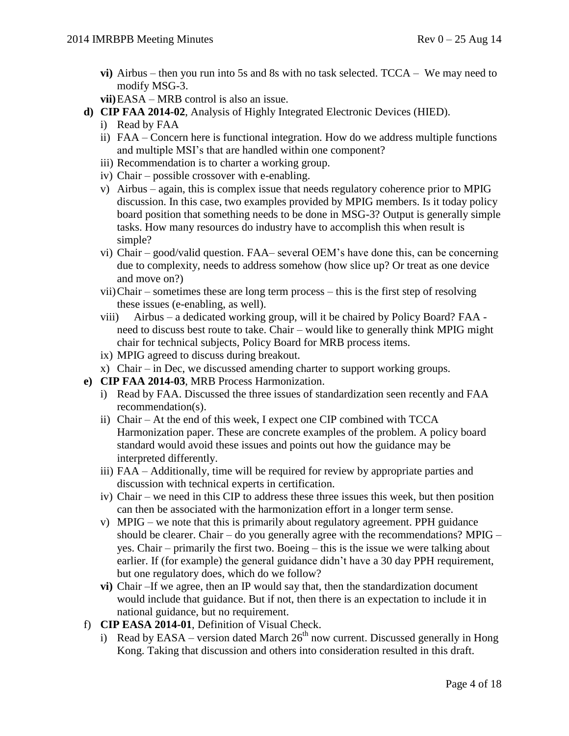- **vi)** Airbus then you run into 5s and 8s with no task selected. TCCA We may need to modify MSG-3.
- **vii)**EASA MRB control is also an issue.
- **d) CIP FAA 2014-02**, Analysis of Highly Integrated Electronic Devices (HIED).
	- i) Read by FAA
	- ii) FAA Concern here is functional integration. How do we address multiple functions and multiple MSI's that are handled within one component?
	- iii) Recommendation is to charter a working group.
	- iv) Chair possible crossover with e-enabling.
	- v) Airbus again, this is complex issue that needs regulatory coherence prior to MPIG discussion. In this case, two examples provided by MPIG members. Is it today policy board position that something needs to be done in MSG-3? Output is generally simple tasks. How many resources do industry have to accomplish this when result is simple?
	- vi) Chair good/valid question. FAA– several OEM's have done this, can be concerning due to complexity, needs to address somehow (how slice up? Or treat as one device and move on?)
	- vii)Chair sometimes these are long term process this is the first step of resolving these issues (e-enabling, as well).
	- viii) Airbus a dedicated working group, will it be chaired by Policy Board? FAA need to discuss best route to take. Chair – would like to generally think MPIG might chair for technical subjects, Policy Board for MRB process items.
	- ix) MPIG agreed to discuss during breakout.
	- x) Chair in Dec, we discussed amending charter to support working groups.
- **e) CIP FAA 2014-03**, MRB Process Harmonization.
	- i) Read by FAA. Discussed the three issues of standardization seen recently and FAA recommendation(s).
	- ii) Chair At the end of this week, I expect one CIP combined with TCCA Harmonization paper. These are concrete examples of the problem. A policy board standard would avoid these issues and points out how the guidance may be interpreted differently.
	- iii) FAA Additionally, time will be required for review by appropriate parties and discussion with technical experts in certification.
	- iv) Chair we need in this CIP to address these three issues this week, but then position can then be associated with the harmonization effort in a longer term sense.
	- v) MPIG we note that this is primarily about regulatory agreement. PPH guidance should be clearer. Chair – do you generally agree with the recommendations? MPIG – yes. Chair – primarily the first two. Boeing – this is the issue we were talking about earlier. If (for example) the general guidance didn't have a 30 day PPH requirement, but one regulatory does, which do we follow?
	- **vi)** Chair –If we agree, then an IP would say that, then the standardization document would include that guidance. But if not, then there is an expectation to include it in national guidance, but no requirement.
- f) **CIP EASA 2014-01**, Definition of Visual Check.
	- i) Read by EASA version dated March  $26<sup>th</sup>$  now current. Discussed generally in Hong Kong. Taking that discussion and others into consideration resulted in this draft.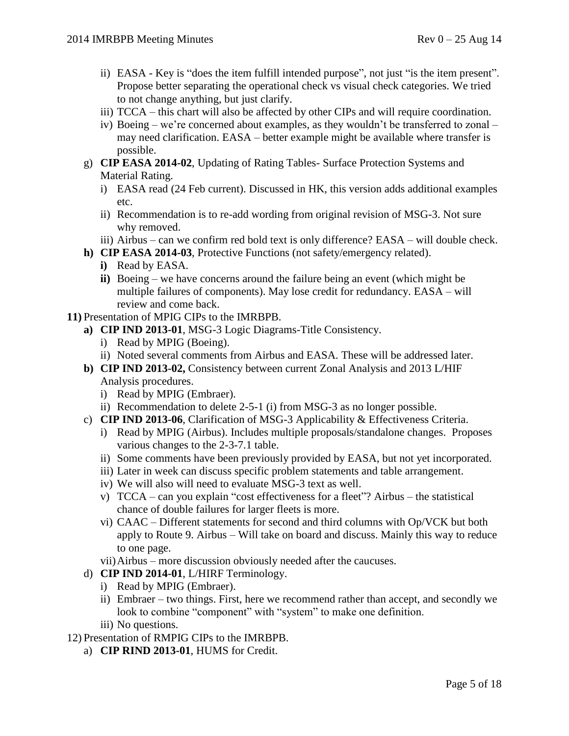- ii) EASA Key is "does the item fulfill intended purpose", not just "is the item present". Propose better separating the operational check vs visual check categories. We tried to not change anything, but just clarify.
- iii) TCCA this chart will also be affected by other CIPs and will require coordination.
- iv) Boeing we're concerned about examples, as they wouldn't be transferred to zonal may need clarification. EASA – better example might be available where transfer is possible.
- g) **CIP EASA 2014-02**, Updating of Rating Tables- Surface Protection Systems and Material Rating.
	- i) EASA read (24 Feb current). Discussed in HK, this version adds additional examples etc.
	- ii) Recommendation is to re-add wording from original revision of MSG-3. Not sure why removed.
	- iii) Airbus can we confirm red bold text is only difference? EASA will double check.
- **h) CIP EASA 2014-03**, Protective Functions (not safety/emergency related).
	- **i)** Read by EASA.
	- **ii)** Boeing we have concerns around the failure being an event (which might be multiple failures of components). May lose credit for redundancy. EASA – will review and come back.
- **11)** Presentation of MPIG CIPs to the IMRBPB.
	- **a) CIP IND 2013-01**, MSG-3 Logic Diagrams-Title Consistency.
		- i) Read by MPIG (Boeing).
		- ii) Noted several comments from Airbus and EASA. These will be addressed later.
	- **b) CIP IND 2013-02,** Consistency between current Zonal Analysis and 2013 L/HIF Analysis procedures.
		- i) Read by MPIG (Embraer).
		- ii) Recommendation to delete 2-5-1 (i) from MSG-3 as no longer possible.
	- c) **CIP IND 2013-06**, Clarification of MSG-3 Applicability & Effectiveness Criteria.
		- i) Read by MPIG (Airbus). Includes multiple proposals/standalone changes. Proposes various changes to the 2-3-7.1 table.
		- ii) Some comments have been previously provided by EASA, but not yet incorporated.
		- iii) Later in week can discuss specific problem statements and table arrangement.
		- iv) We will also will need to evaluate MSG-3 text as well.
		- v) TCCA can you explain "cost effectiveness for a fleet"? Airbus the statistical chance of double failures for larger fleets is more.
		- vi) CAAC Different statements for second and third columns with Op/VCK but both apply to Route 9. Airbus – Will take on board and discuss. Mainly this way to reduce to one page.
		- vii)Airbus more discussion obviously needed after the caucuses.
	- d) **CIP IND 2014-01**, L/HIRF Terminology.
		- i) Read by MPIG (Embraer).
		- ii) Embraer two things. First, here we recommend rather than accept, and secondly we look to combine "component" with "system" to make one definition.
		- iii) No questions.
- 12) Presentation of RMPIG CIPs to the IMRBPB.
	- a) **CIP RIND 2013-01**, HUMS for Credit.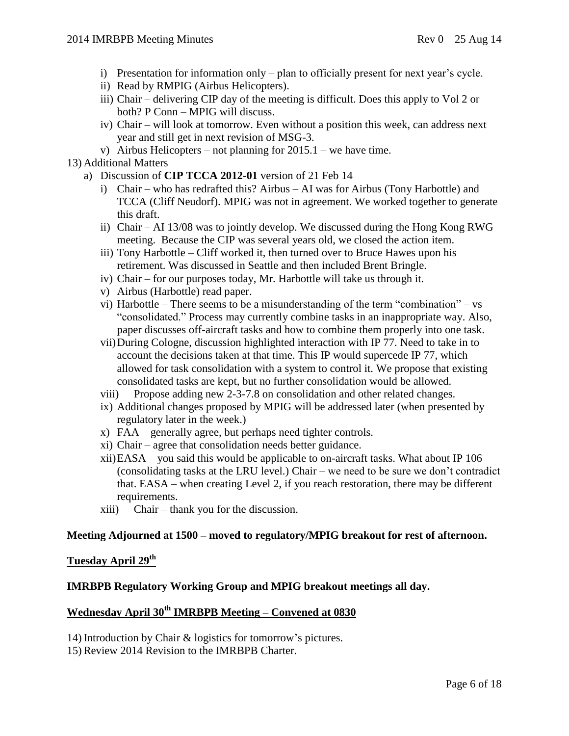- i) Presentation for information only plan to officially present for next year's cycle.
- ii) Read by RMPIG (Airbus Helicopters).
- iii) Chair delivering CIP day of the meeting is difficult. Does this apply to Vol 2 or both? P Conn – MPIG will discuss.
- iv) Chair will look at tomorrow. Even without a position this week, can address next year and still get in next revision of MSG-3.
- v) Airbus Helicopters not planning for  $2015.1$  we have time.

#### 13) Additional Matters

- a) Discussion of **CIP TCCA 2012-01** version of 21 Feb 14
	- i) Chair who has redrafted this? Airbus AI was for Airbus (Tony Harbottle) and TCCA (Cliff Neudorf). MPIG was not in agreement. We worked together to generate this draft.
	- ii) Chair AI 13/08 was to jointly develop. We discussed during the Hong Kong RWG meeting. Because the CIP was several years old, we closed the action item.
	- iii) Tony Harbottle Cliff worked it, then turned over to Bruce Hawes upon his retirement. Was discussed in Seattle and then included Brent Bringle.
	- iv) Chair for our purposes today, Mr. Harbottle will take us through it.
	- v) Airbus (Harbottle) read paper.
	- vi) Harbottle There seems to be a misunderstanding of the term "combination" vs "consolidated." Process may currently combine tasks in an inappropriate way. Also, paper discusses off-aircraft tasks and how to combine them properly into one task.
	- vii)During Cologne, discussion highlighted interaction with IP 77. Need to take in to account the decisions taken at that time. This IP would supercede IP 77, which allowed for task consolidation with a system to control it. We propose that existing consolidated tasks are kept, but no further consolidation would be allowed.
	- viii) Propose adding new 2-3-7.8 on consolidation and other related changes.
	- ix) Additional changes proposed by MPIG will be addressed later (when presented by regulatory later in the week.)
	- x) FAA generally agree, but perhaps need tighter controls.
	- xi) Chair agree that consolidation needs better guidance.
	- xii)EASA you said this would be applicable to on-aircraft tasks. What about IP 106 (consolidating tasks at the LRU level.) Chair – we need to be sure we don't contradict that. EASA – when creating Level 2, if you reach restoration, there may be different requirements.
	- xiii) Chair thank you for the discussion.

#### **Meeting Adjourned at 1500 – moved to regulatory/MPIG breakout for rest of afternoon.**

# **Tuesday April 29 th**

#### **IMRBPB Regulatory Working Group and MPIG breakout meetings all day.**

# **Wednesday April 30th IMRBPB Meeting – Convened at 0830**

14) Introduction by Chair & logistics for tomorrow's pictures.

15) Review 2014 Revision to the IMRBPB Charter.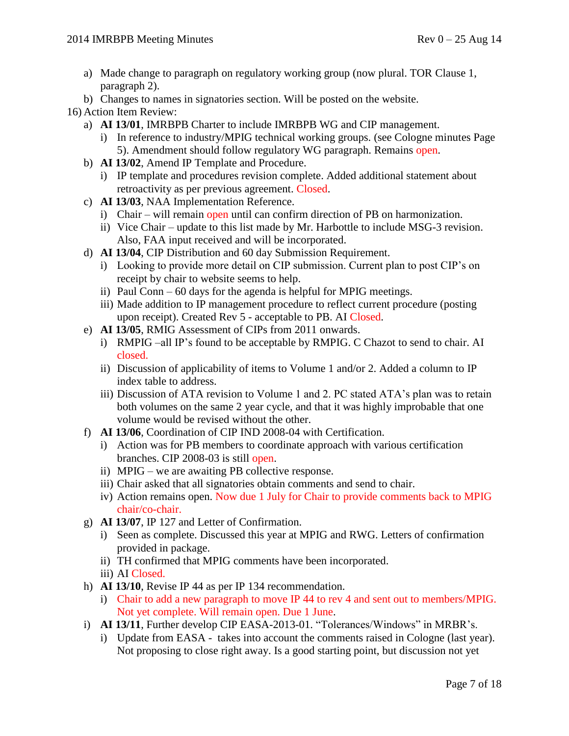- a) Made change to paragraph on regulatory working group (now plural. TOR Clause 1, paragraph 2).
- b) Changes to names in signatories section. Will be posted on the website.

16) Action Item Review:

- a) **AI 13/01**, IMRBPB Charter to include IMRBPB WG and CIP management.
	- i) In reference to industry/MPIG technical working groups. (see Cologne minutes Page 5). Amendment should follow regulatory WG paragraph. Remains open.
- b) **AI 13/02**, Amend IP Template and Procedure.
	- i) IP template and procedures revision complete. Added additional statement about retroactivity as per previous agreement. Closed.
- c) **AI 13/03**, NAA Implementation Reference.
	- i) Chair will remain open until can confirm direction of PB on harmonization.
	- ii) Vice Chair update to this list made by Mr. Harbottle to include MSG-3 revision. Also, FAA input received and will be incorporated.
- d) **AI 13/04**, CIP Distribution and 60 day Submission Requirement.
	- i) Looking to provide more detail on CIP submission. Current plan to post CIP's on receipt by chair to website seems to help.
	- ii) Paul Conn 60 days for the agenda is helpful for MPIG meetings.
	- iii) Made addition to IP management procedure to reflect current procedure (posting upon receipt). Created Rev 5 - acceptable to PB. AI Closed.
- e) **AI 13/05**, RMIG Assessment of CIPs from 2011 onwards.
	- i) RMPIG –all IP's found to be acceptable by RMPIG. C Chazot to send to chair. AI closed.
	- ii) Discussion of applicability of items to Volume 1 and/or 2. Added a column to IP index table to address.
	- iii) Discussion of ATA revision to Volume 1 and 2. PC stated ATA's plan was to retain both volumes on the same 2 year cycle, and that it was highly improbable that one volume would be revised without the other.
- f) **AI 13/06**, Coordination of CIP IND 2008-04 with Certification.
	- i) Action was for PB members to coordinate approach with various certification branches. CIP 2008-03 is still open.
	- ii) MPIG we are awaiting PB collective response.
	- iii) Chair asked that all signatories obtain comments and send to chair.
	- iv) Action remains open. Now due 1 July for Chair to provide comments back to MPIG chair/co-chair.
- g) **AI 13/07**, IP 127 and Letter of Confirmation.
	- i) Seen as complete. Discussed this year at MPIG and RWG. Letters of confirmation provided in package.
	- ii) TH confirmed that MPIG comments have been incorporated.
	- iii) AI Closed.
- h) **AI 13/10**, Revise IP 44 as per IP 134 recommendation.
	- i) Chair to add a new paragraph to move IP 44 to rev 4 and sent out to members/MPIG. Not yet complete. Will remain open. Due 1 June.
- i) **AI 13/11**, Further develop CIP EASA-2013-01. "Tolerances/Windows" in MRBR's.
	- i) Update from EASA takes into account the comments raised in Cologne (last year). Not proposing to close right away. Is a good starting point, but discussion not yet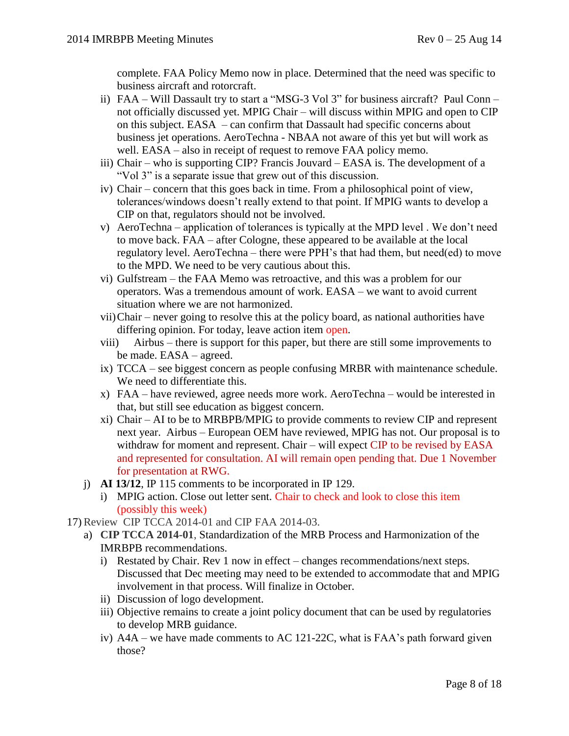complete. FAA Policy Memo now in place. Determined that the need was specific to business aircraft and rotorcraft.

- ii) FAA Will Dassault try to start a "MSG-3 Vol 3" for business aircraft? Paul Conn not officially discussed yet. MPIG Chair – will discuss within MPIG and open to CIP on this subject. EASA – can confirm that Dassault had specific concerns about business jet operations. AeroTechna - NBAA not aware of this yet but will work as well. EASA – also in receipt of request to remove FAA policy memo.
- iii) Chair who is supporting CIP? Francis Jouvard EASA is. The development of a "Vol 3" is a separate issue that grew out of this discussion.
- iv) Chair concern that this goes back in time. From a philosophical point of view, tolerances/windows doesn't really extend to that point. If MPIG wants to develop a CIP on that, regulators should not be involved.
- v) AeroTechna application of tolerances is typically at the MPD level . We don't need to move back. FAA – after Cologne, these appeared to be available at the local regulatory level. AeroTechna – there were PPH's that had them, but need(ed) to move to the MPD. We need to be very cautious about this.
- vi) Gulfstream the FAA Memo was retroactive, and this was a problem for our operators. Was a tremendous amount of work. EASA – we want to avoid current situation where we are not harmonized.
- vii)Chair never going to resolve this at the policy board, as national authorities have differing opinion. For today, leave action item open.
- viii) Airbus there is support for this paper, but there are still some improvements to be made. EASA – agreed.
- ix) TCCA see biggest concern as people confusing MRBR with maintenance schedule. We need to differentiate this.
- x) FAA have reviewed, agree needs more work. AeroTechna would be interested in that, but still see education as biggest concern.
- xi) Chair AI to be to MRBPB/MPIG to provide comments to review CIP and represent next year. Airbus – European OEM have reviewed, MPIG has not. Our proposal is to withdraw for moment and represent. Chair – will expect CIP to be revised by EASA and represented for consultation. AI will remain open pending that. Due 1 November for presentation at RWG.
- j) **AI 13/12**, IP 115 comments to be incorporated in IP 129.
	- i) MPIG action. Close out letter sent. Chair to check and look to close this item (possibly this week)

17) Review CIP TCCA 2014-01 and CIP FAA 2014-03.

- a) **CIP TCCA 2014-01**, Standardization of the MRB Process and Harmonization of the IMRBPB recommendations.
	- i) Restated by Chair. Rev 1 now in effect changes recommendations/next steps. Discussed that Dec meeting may need to be extended to accommodate that and MPIG involvement in that process. Will finalize in October.
	- ii) Discussion of logo development.
	- iii) Objective remains to create a joint policy document that can be used by regulatories to develop MRB guidance.
	- iv) A4A we have made comments to AC 121-22C, what is FAA's path forward given those?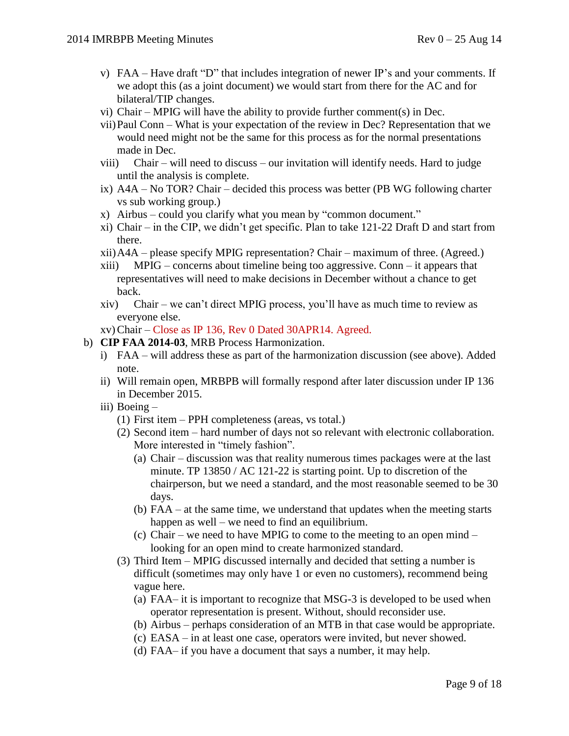- v)  $FAA Have draft "D" that includes integration of newer IP's and your comments. If$ we adopt this (as a joint document) we would start from there for the AC and for bilateral/TIP changes.
- vi) Chair MPIG will have the ability to provide further comment(s) in Dec.
- vii)Paul Conn What is your expectation of the review in Dec? Representation that we would need might not be the same for this process as for the normal presentations made in Dec.
- viii) Chair will need to discuss our invitation will identify needs. Hard to judge until the analysis is complete.
- ix) A4A No TOR? Chair decided this process was better (PB WG following charter vs sub working group.)
- x) Airbus could you clarify what you mean by "common document."
- xi) Chair in the CIP, we didn't get specific. Plan to take 121-22 Draft D and start from there.
- xii)A4A please specify MPIG representation? Chair maximum of three. (Agreed.)
- xiii) MPIG concerns about timeline being too aggressive. Conn it appears that representatives will need to make decisions in December without a chance to get back.
- xiv) Chair we can't direct MPIG process, you'll have as much time to review as everyone else.
- xv)Chair Close as IP 136, Rev 0 Dated 30APR14. Agreed.
- b) **CIP FAA 2014-03**, MRB Process Harmonization.
	- i) FAA will address these as part of the harmonization discussion (see above). Added note.
	- ii) Will remain open, MRBPB will formally respond after later discussion under IP 136 in December 2015.
	- iii) Boeing
		- (1) First item PPH completeness (areas, vs total.)
		- (2) Second item hard number of days not so relevant with electronic collaboration. More interested in "timely fashion".
			- (a) Chair discussion was that reality numerous times packages were at the last minute. TP 13850 / AC 121-22 is starting point. Up to discretion of the chairperson, but we need a standard, and the most reasonable seemed to be 30 days.
			- (b) FAA at the same time, we understand that updates when the meeting starts happen as well – we need to find an equilibrium.
			- (c) Chair we need to have MPIG to come to the meeting to an open mind looking for an open mind to create harmonized standard.
		- (3) Third Item MPIG discussed internally and decided that setting a number is difficult (sometimes may only have 1 or even no customers), recommend being vague here.
			- (a) FAA– it is important to recognize that MSG-3 is developed to be used when operator representation is present. Without, should reconsider use.
			- (b) Airbus perhaps consideration of an MTB in that case would be appropriate.
			- (c) EASA in at least one case, operators were invited, but never showed.
			- (d) FAA– if you have a document that says a number, it may help.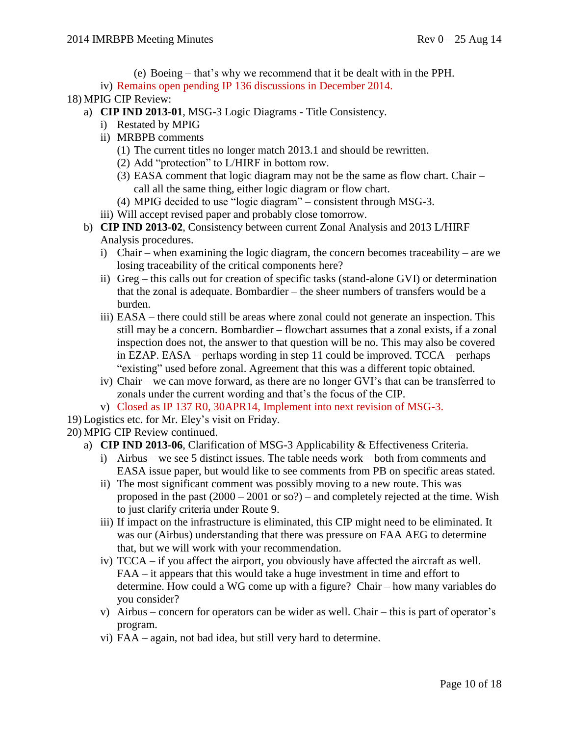(e) Boeing – that's why we recommend that it be dealt with in the PPH.

iv) Remains open pending IP 136 discussions in December 2014.

- 18) MPIG CIP Review:
	- a) **CIP IND 2013-01**, MSG-3 Logic Diagrams Title Consistency.
		- i) Restated by MPIG
		- ii) MRBPB comments
			- (1) The current titles no longer match 2013.1 and should be rewritten.
			- (2) Add "protection" to L/HIRF in bottom row.
			- (3) EASA comment that logic diagram may not be the same as flow chart. Chair call all the same thing, either logic diagram or flow chart.
			- (4) MPIG decided to use "logic diagram" consistent through MSG-3.
		- iii) Will accept revised paper and probably close tomorrow.
	- b) **CIP IND 2013-02**, Consistency between current Zonal Analysis and 2013 L/HIRF Analysis procedures.
		- i) Chair when examining the logic diagram, the concern becomes traceability are we losing traceability of the critical components here?
		- ii) Greg this calls out for creation of specific tasks (stand-alone GVI) or determination that the zonal is adequate. Bombardier – the sheer numbers of transfers would be a burden.
		- iii) EASA there could still be areas where zonal could not generate an inspection. This still may be a concern. Bombardier – flowchart assumes that a zonal exists, if a zonal inspection does not, the answer to that question will be no. This may also be covered in EZAP. EASA – perhaps wording in step 11 could be improved. TCCA – perhaps "existing" used before zonal. Agreement that this was a different topic obtained.
		- iv) Chair we can move forward, as there are no longer GVI's that can be transferred to zonals under the current wording and that's the focus of the CIP.
		- v) Closed as IP 137 R0, 30APR14, Implement into next revision of MSG-3.
- 19) Logistics etc. for Mr. Eley's visit on Friday.

20) MPIG CIP Review continued.

- a) **CIP IND 2013-06**, Clarification of MSG-3 Applicability & Effectiveness Criteria.
	- i) Airbus we see 5 distinct issues. The table needs work both from comments and EASA issue paper, but would like to see comments from PB on specific areas stated.
	- ii) The most significant comment was possibly moving to a new route. This was proposed in the past (2000 – 2001 or so?) – and completely rejected at the time. Wish to just clarify criteria under Route 9.
	- iii) If impact on the infrastructure is eliminated, this CIP might need to be eliminated. It was our (Airbus) understanding that there was pressure on FAA AEG to determine that, but we will work with your recommendation.
	- iv) TCCA if you affect the airport, you obviously have affected the aircraft as well. FAA – it appears that this would take a huge investment in time and effort to determine. How could a WG come up with a figure? Chair – how many variables do you consider?
	- v) Airbus concern for operators can be wider as well. Chair this is part of operator's program.
	- vi) FAA again, not bad idea, but still very hard to determine.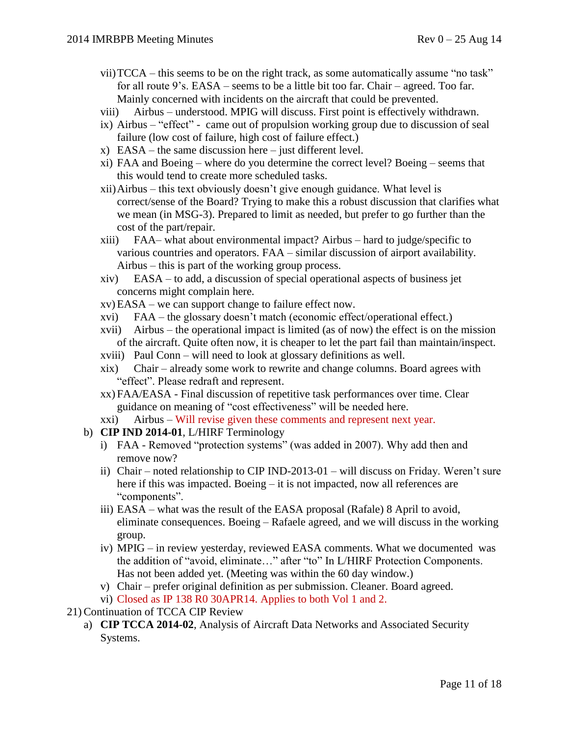- vii)TCCA this seems to be on the right track, as some automatically assume "no task" for all route 9's. EASA – seems to be a little bit too far. Chair – agreed. Too far. Mainly concerned with incidents on the aircraft that could be prevented.
- viii) Airbus understood. MPIG will discuss. First point is effectively withdrawn.
- ix) Airbus "effect" came out of propulsion working group due to discussion of seal failure (low cost of failure, high cost of failure effect.)
- $x)$  EASA the same discussion here just different level.
- xi) FAA and Boeing where do you determine the correct level? Boeing seems that this would tend to create more scheduled tasks.
- xii)Airbus this text obviously doesn't give enough guidance. What level is correct/sense of the Board? Trying to make this a robust discussion that clarifies what we mean (in MSG-3). Prepared to limit as needed, but prefer to go further than the cost of the part/repair.
- xiii) FAA– what about environmental impact? Airbus hard to judge/specific to various countries and operators. FAA – similar discussion of airport availability. Airbus – this is part of the working group process.
- xiv) EASA to add, a discussion of special operational aspects of business jet concerns might complain here.
- xv) EASA we can support change to failure effect now.
- xvi) FAA the glossary doesn't match (economic effect/operational effect.)
- xvii) Airbus the operational impact is limited (as of now) the effect is on the mission of the aircraft. Quite often now, it is cheaper to let the part fail than maintain/inspect.
- xviii) Paul Conn will need to look at glossary definitions as well.
- xix) Chair already some work to rewrite and change columns. Board agrees with "effect". Please redraft and represent.
- xx) FAA/EASA Final discussion of repetitive task performances over time. Clear guidance on meaning of "cost effectiveness" will be needed here.
- xxi) Airbus Will revise given these comments and represent next year.
- b) **CIP IND 2014-01**, L/HIRF Terminology
	- i) FAA Removed "protection systems" (was added in 2007). Why add then and remove now?
	- ii) Chair noted relationship to CIP IND-2013-01 will discuss on Friday. Weren't sure here if this was impacted. Boeing – it is not impacted, now all references are "components".
	- iii) EASA what was the result of the EASA proposal (Rafale) 8 April to avoid, eliminate consequences. Boeing – Rafaele agreed, and we will discuss in the working group.
	- iv) MPIG in review yesterday, reviewed EASA comments. What we documented was the addition of "avoid, eliminate…" after "to" In L/HIRF Protection Components. Has not been added yet. (Meeting was within the 60 day window.)
	- v) Chair prefer original definition as per submission. Cleaner. Board agreed.
	- vi) Closed as IP 138 R0 30APR14. Applies to both Vol 1 and 2.
- 21) Continuation of TCCA CIP Review
	- a) **CIP TCCA 2014-02**, Analysis of Aircraft Data Networks and Associated Security Systems.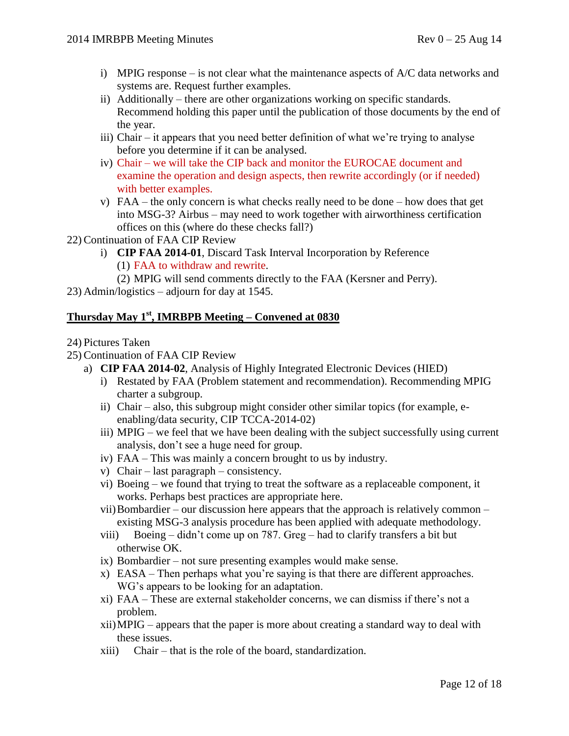- i) MPIG response is not clear what the maintenance aspects of A/C data networks and systems are. Request further examples.
- ii) Additionally there are other organizations working on specific standards. Recommend holding this paper until the publication of those documents by the end of the year.
- iii) Chair it appears that you need better definition of what we're trying to analyse before you determine if it can be analysed.
- iv) Chair we will take the CIP back and monitor the EUROCAE document and examine the operation and design aspects, then rewrite accordingly (or if needed) with better examples.
- v) FAA the only concern is what checks really need to be done how does that get into MSG-3? Airbus – may need to work together with airworthiness certification offices on this (where do these checks fall?)
- 22) Continuation of FAA CIP Review
	- i) **CIP FAA 2014-01**, Discard Task Interval Incorporation by Reference (1) FAA to withdraw and rewrite.
		- (2) MPIG will send comments directly to the FAA (Kersner and Perry).
- 23) Admin/logistics adjourn for day at 1545.

# **Thursday May 1st, IMRBPB Meeting – Convened at 0830**

#### 24) Pictures Taken

- 25) Continuation of FAA CIP Review
	- a) **CIP FAA 2014-02**, Analysis of Highly Integrated Electronic Devices (HIED)
		- i) Restated by FAA (Problem statement and recommendation). Recommending MPIG charter a subgroup.
		- ii) Chair also, this subgroup might consider other similar topics (for example, eenabling/data security, CIP TCCA-2014-02)
		- iii) MPIG we feel that we have been dealing with the subject successfully using current analysis, don't see a huge need for group.
		- iv) FAA This was mainly a concern brought to us by industry.
		- v) Chair last paragraph consistency.
		- vi) Boeing we found that trying to treat the software as a replaceable component, it works. Perhaps best practices are appropriate here.
		- vii)Bombardier our discussion here appears that the approach is relatively common existing MSG-3 analysis procedure has been applied with adequate methodology.
		- viii) Boeing didn't come up on 787. Greg had to clarify transfers a bit but otherwise OK.
		- ix) Bombardier not sure presenting examples would make sense.
		- x) EASA Then perhaps what you're saying is that there are different approaches. WG's appears to be looking for an adaptation.
		- xi) FAA These are external stakeholder concerns, we can dismiss if there's not a problem.
		- xii)MPIG appears that the paper is more about creating a standard way to deal with these issues.
		- xiii) Chair that is the role of the board, standardization.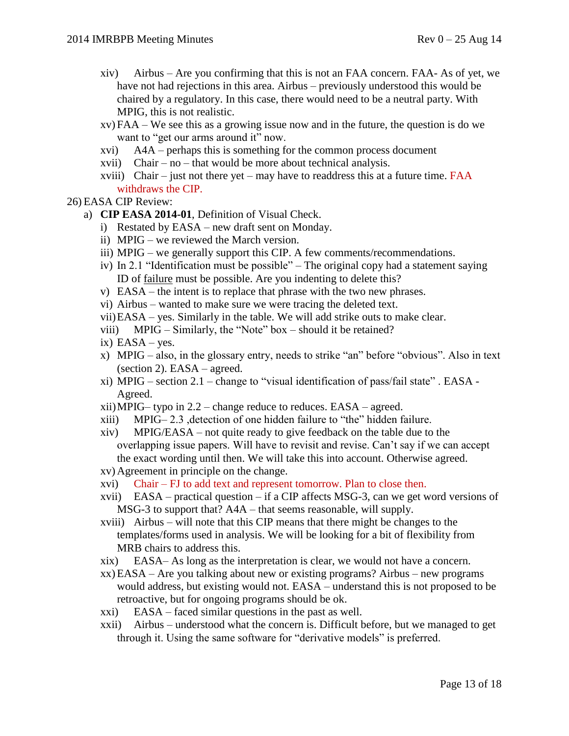- xiv) Airbus Are you confirming that this is not an FAA concern. FAA- As of yet, we have not had rejections in this area. Airbus – previously understood this would be chaired by a regulatory. In this case, there would need to be a neutral party. With MPIG, this is not realistic.
- xv) FAA We see this as a growing issue now and in the future, the question is do we want to "get our arms around it" now.
- xvi) A4A perhaps this is something for the common process document
- xvii) Chair no that would be more about technical analysis.
- xviii) Chair just not there yet may have to readdress this at a future time.  $FAA$ withdraws the CIP.
- 26) EASA CIP Review:
	- a) **CIP EASA 2014-01**, Definition of Visual Check.
		- i) Restated by EASA new draft sent on Monday.
		- ii) MPIG we reviewed the March version.
		- iii) MPIG we generally support this CIP. A few comments/recommendations.
		- iv) In 2.1 "Identification must be possible" The original copy had a statement saying ID of failure must be possible. Are you indenting to delete this?
		- v) EASA the intent is to replace that phrase with the two new phrases.
		- vi) Airbus wanted to make sure we were tracing the deleted text.
		- vii)EASA yes. Similarly in the table. We will add strike outs to make clear.
		- viii) MPIG Similarly, the "Note" box should it be retained?
		- $ix)$  EASA yes.
		- x) MPIG also, in the glossary entry, needs to strike "an" before "obvious". Also in text (section 2). EASA – agreed.
		- xi) MPIG section  $2.1$  change to "visual identification of pass/fail state". EASA -Agreed.
		- xii)MPIG– typo in 2.2 change reduce to reduces. EASA agreed.
		- xiii) MPIG– 2.3 ,detection of one hidden failure to "the" hidden failure.
		- xiv) MPIG/EASA not quite ready to give feedback on the table due to the overlapping issue papers. Will have to revisit and revise. Can't say if we can accept the exact wording until then. We will take this into account. Otherwise agreed.
		- xv) Agreement in principle on the change.
		- xvi) Chair FJ to add text and represent tomorrow. Plan to close then.
		- xvii) EASA practical question if a CIP affects MSG-3, can we get word versions of MSG-3 to support that? A4A – that seems reasonable, will supply.
		- xviii) Airbus will note that this CIP means that there might be changes to the templates/forms used in analysis. We will be looking for a bit of flexibility from MRB chairs to address this.
		- xix) EASA– As long as the interpretation is clear, we would not have a concern.
		- xx) EASA Are you talking about new or existing programs? Airbus new programs would address, but existing would not. EASA – understand this is not proposed to be retroactive, but for ongoing programs should be ok.
		- xxi) EASA faced similar questions in the past as well.
		- xxii) Airbus understood what the concern is. Difficult before, but we managed to get through it. Using the same software for "derivative models" is preferred.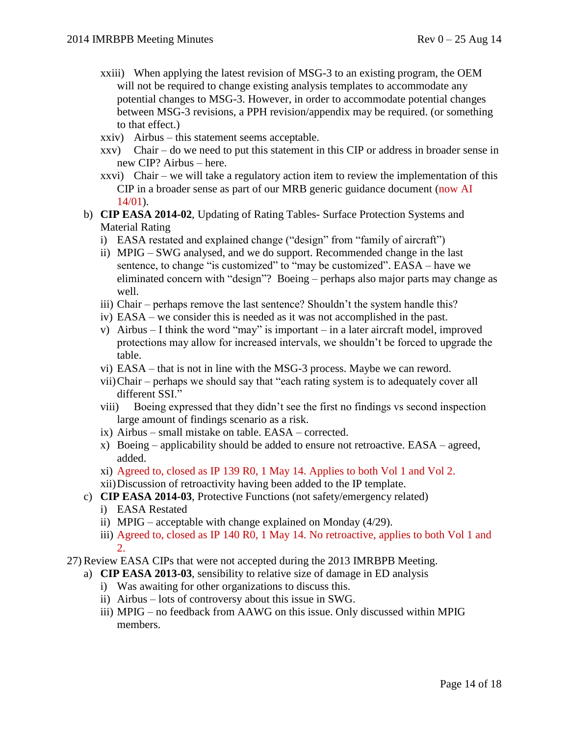- xxiii) When applying the latest revision of MSG-3 to an existing program, the OEM will not be required to change existing analysis templates to accommodate any potential changes to MSG-3. However, in order to accommodate potential changes between MSG-3 revisions, a PPH revision/appendix may be required. (or something to that effect.)
- xxiv) Airbus this statement seems acceptable.
- xxv) Chair do we need to put this statement in this CIP or address in broader sense in new CIP? Airbus – here.
- xxvi) Chair we will take a regulatory action item to review the implementation of this CIP in a broader sense as part of our MRB generic guidance document (now AI 14/01).
- b) **CIP EASA 2014-02**, Updating of Rating Tables- Surface Protection Systems and Material Rating
	- i) EASA restated and explained change ("design" from "family of aircraft")
	- ii) MPIG SWG analysed, and we do support. Recommended change in the last sentence, to change "is customized" to "may be customized". EASA – have we eliminated concern with "design"? Boeing – perhaps also major parts may change as well.
	- iii) Chair perhaps remove the last sentence? Shouldn't the system handle this?
	- iv) EASA we consider this is needed as it was not accomplished in the past.
	- v) Airbus I think the word "may" is important in a later aircraft model, improved protections may allow for increased intervals, we shouldn't be forced to upgrade the table.
	- vi) EASA that is not in line with the MSG-3 process. Maybe we can reword.
	- vii)Chair perhaps we should say that "each rating system is to adequately cover all different SSI."
	- viii) Boeing expressed that they didn't see the first no findings vs second inspection large amount of findings scenario as a risk.
	- ix) Airbus small mistake on table. EASA corrected.
	- x) Boeing applicability should be added to ensure not retroactive. EASA agreed, added.
	- xi) Agreed to, closed as IP 139 R0, 1 May 14. Applies to both Vol 1 and Vol 2.
	- xii)Discussion of retroactivity having been added to the IP template.
- c) **CIP EASA 2014-03**, Protective Functions (not safety/emergency related)
	- i) EASA Restated
	- ii) MPIG acceptable with change explained on Monday (4/29).
	- iii) Agreed to, closed as IP 140 R0, 1 May 14. No retroactive, applies to both Vol 1 and 2.
- 27) Review EASA CIPs that were not accepted during the 2013 IMRBPB Meeting.
	- a) **CIP EASA 2013-03**, sensibility to relative size of damage in ED analysis
		- i) Was awaiting for other organizations to discuss this.
		- ii) Airbus lots of controversy about this issue in SWG.
		- iii) MPIG no feedback from AAWG on this issue. Only discussed within MPIG members.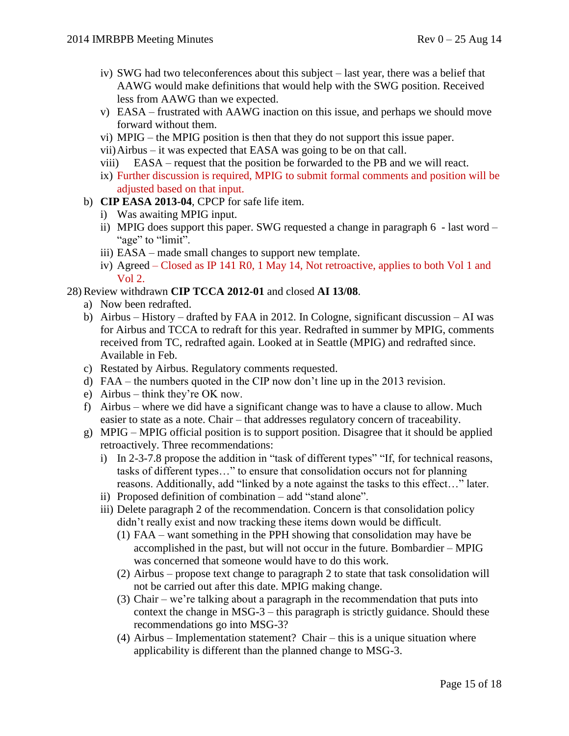- iv) SWG had two teleconferences about this subject last year, there was a belief that AAWG would make definitions that would help with the SWG position. Received less from AAWG than we expected.
- v) EASA frustrated with AAWG inaction on this issue, and perhaps we should move forward without them.
- vi) MPIG the MPIG position is then that they do not support this issue paper.
- vii)Airbus it was expected that EASA was going to be on that call.
- viii) EASA request that the position be forwarded to the PB and we will react.
- ix) Further discussion is required, MPIG to submit formal comments and position will be adjusted based on that input.
- b) **CIP EASA 2013-04**, CPCP for safe life item.
	- i) Was awaiting MPIG input.
	- ii) MPIG does support this paper. SWG requested a change in paragraph 6 last word "age" to "limit".
	- iii) EASA made small changes to support new template.
	- iv) Agreed Closed as IP 141 R0, 1 May 14, Not retroactive, applies to both Vol 1 and Vol 2.

# 28) Review withdrawn **CIP TCCA 2012-01** and closed **AI 13/08**.

- a) Now been redrafted.
- b) Airbus History drafted by FAA in 2012. In Cologne, significant discussion AI was for Airbus and TCCA to redraft for this year. Redrafted in summer by MPIG, comments received from TC, redrafted again. Looked at in Seattle (MPIG) and redrafted since. Available in Feb.
- c) Restated by Airbus. Regulatory comments requested.
- d) FAA the numbers quoted in the CIP now don't line up in the 2013 revision.
- e) Airbus think they're OK now.
- f) Airbus where we did have a significant change was to have a clause to allow. Much easier to state as a note. Chair – that addresses regulatory concern of traceability.
- g) MPIG MPIG official position is to support position. Disagree that it should be applied retroactively. Three recommendations:
	- i) In 2-3-7.8 propose the addition in "task of different types" "If, for technical reasons, tasks of different types…" to ensure that consolidation occurs not for planning reasons. Additionally, add "linked by a note against the tasks to this effect…" later.
	- ii) Proposed definition of combination add "stand alone".
	- iii) Delete paragraph 2 of the recommendation. Concern is that consolidation policy didn't really exist and now tracking these items down would be difficult.
		- (1) FAA want something in the PPH showing that consolidation may have be accomplished in the past, but will not occur in the future. Bombardier – MPIG was concerned that someone would have to do this work.
		- (2) Airbus propose text change to paragraph 2 to state that task consolidation will not be carried out after this date. MPIG making change.
		- (3) Chair we're talking about a paragraph in the recommendation that puts into context the change in MSG-3 – this paragraph is strictly guidance. Should these recommendations go into MSG-3?
		- (4) Airbus Implementation statement? Chair this is a unique situation where applicability is different than the planned change to MSG-3.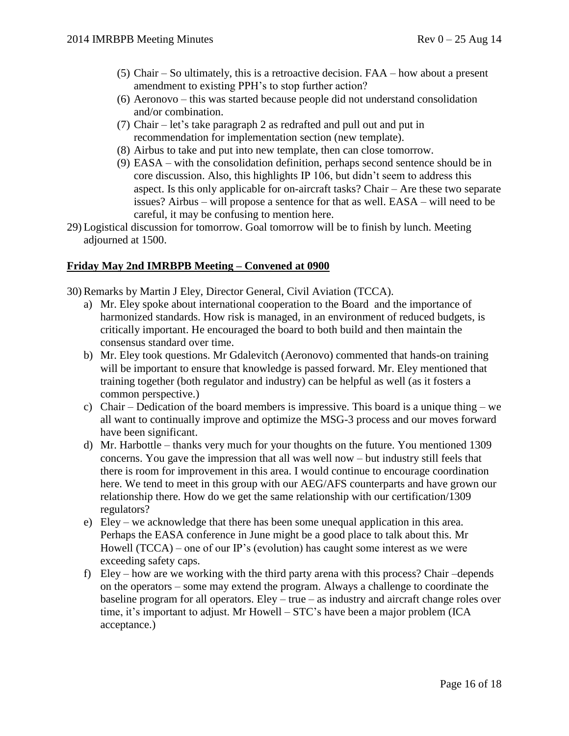- (5) Chair So ultimately, this is a retroactive decision. FAA how about a present amendment to existing PPH's to stop further action?
- (6) Aeronovo this was started because people did not understand consolidation and/or combination.
- (7) Chair let's take paragraph 2 as redrafted and pull out and put in recommendation for implementation section (new template).
- (8) Airbus to take and put into new template, then can close tomorrow.
- (9) EASA with the consolidation definition, perhaps second sentence should be in core discussion. Also, this highlights IP 106, but didn't seem to address this aspect. Is this only applicable for on-aircraft tasks? Chair – Are these two separate issues? Airbus – will propose a sentence for that as well. EASA – will need to be careful, it may be confusing to mention here.
- 29) Logistical discussion for tomorrow. Goal tomorrow will be to finish by lunch. Meeting adjourned at 1500.

#### **Friday May 2nd IMRBPB Meeting – Convened at 0900**

- 30) Remarks by Martin J Eley, Director General, Civil Aviation (TCCA).
	- a) Mr. Eley spoke about international cooperation to the Board and the importance of harmonized standards. How risk is managed, in an environment of reduced budgets, is critically important. He encouraged the board to both build and then maintain the consensus standard over time.
	- b) Mr. Eley took questions. Mr Gdalevitch (Aeronovo) commented that hands-on training will be important to ensure that knowledge is passed forward. Mr. Eley mentioned that training together (both regulator and industry) can be helpful as well (as it fosters a common perspective.)
	- c) Chair Dedication of the board members is impressive. This board is a unique thing we all want to continually improve and optimize the MSG-3 process and our moves forward have been significant.
	- d) Mr. Harbottle thanks very much for your thoughts on the future. You mentioned 1309 concerns. You gave the impression that all was well now – but industry still feels that there is room for improvement in this area. I would continue to encourage coordination here. We tend to meet in this group with our AEG/AFS counterparts and have grown our relationship there. How do we get the same relationship with our certification/1309 regulators?
	- e) Eley we acknowledge that there has been some unequal application in this area. Perhaps the EASA conference in June might be a good place to talk about this. Mr Howell  $(TCCA)$  – one of our IP's (evolution) has caught some interest as we were exceeding safety caps.
	- f) Eley how are we working with the third party arena with this process? Chair –depends on the operators – some may extend the program. Always a challenge to coordinate the baseline program for all operators. Eley – true – as industry and aircraft change roles over time, it's important to adjust. Mr Howell – STC's have been a major problem (ICA acceptance.)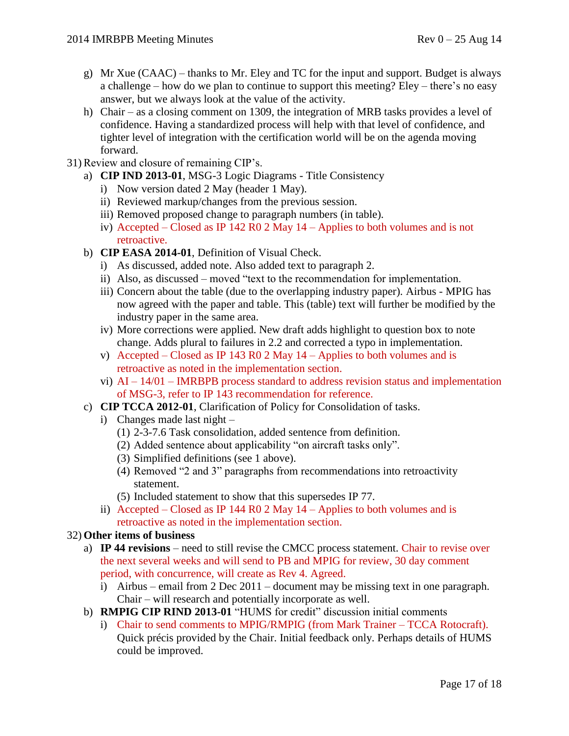- g) Mr Xue  $(CAAC)$  thanks to Mr. Eley and TC for the input and support. Budget is always a challenge – how do we plan to continue to support this meeting? Eley – there's no easy answer, but we always look at the value of the activity.
- h) Chair as a closing comment on 1309, the integration of MRB tasks provides a level of confidence. Having a standardized process will help with that level of confidence, and tighter level of integration with the certification world will be on the agenda moving forward.
- 31) Review and closure of remaining CIP's.
	- a) **CIP IND 2013-01**, MSG-3 Logic Diagrams Title Consistency
		- i) Now version dated 2 May (header 1 May).
		- ii) Reviewed markup/changes from the previous session.
		- iii) Removed proposed change to paragraph numbers (in table).
		- iv) Accepted Closed as IP 142 R0 2 May 14 Applies to both volumes and is not retroactive.
	- b) **CIP EASA 2014-01**, Definition of Visual Check.
		- i) As discussed, added note. Also added text to paragraph 2.
		- ii) Also, as discussed moved "text to the recommendation for implementation.
		- iii) Concern about the table (due to the overlapping industry paper). Airbus MPIG has now agreed with the paper and table. This (table) text will further be modified by the industry paper in the same area.
		- iv) More corrections were applied. New draft adds highlight to question box to note change. Adds plural to failures in 2.2 and corrected a typo in implementation.
		- v) Accepted Closed as IP 143 R0 2 May  $14$  Applies to both volumes and is retroactive as noted in the implementation section.
		- vi)  $AI 14/01 IMRBPB$  process standard to address revision status and implementation of MSG-3, refer to IP 143 recommendation for reference.
	- c) **CIP TCCA 2012-01**, Clarification of Policy for Consolidation of tasks.
		- i) Changes made last night
			- (1) 2-3-7.6 Task consolidation, added sentence from definition.
			- (2) Added sentence about applicability "on aircraft tasks only".
			- (3) Simplified definitions (see 1 above).
			- (4) Removed "2 and 3" paragraphs from recommendations into retroactivity statement.
			- (5) Included statement to show that this supersedes IP 77.
		- ii) Accepted Closed as IP 144 R0 2 May 14 Applies to both volumes and is retroactive as noted in the implementation section.

# 32) **Other items of business**

- a) **IP 44 revisions** need to still revise the CMCC process statement. Chair to revise over the next several weeks and will send to PB and MPIG for review, 30 day comment period, with concurrence, will create as Rev 4. Agreed.
	- i) Airbus email from 2 Dec 2011 document may be missing text in one paragraph. Chair – will research and potentially incorporate as well.
- b) **RMPIG CIP RIND 2013-01** "HUMS for credit" discussion initial comments
	- i) Chair to send comments to MPIG/RMPIG (from Mark Trainer TCCA Rotocraft). Quick précis provided by the Chair. Initial feedback only. Perhaps details of HUMS could be improved.